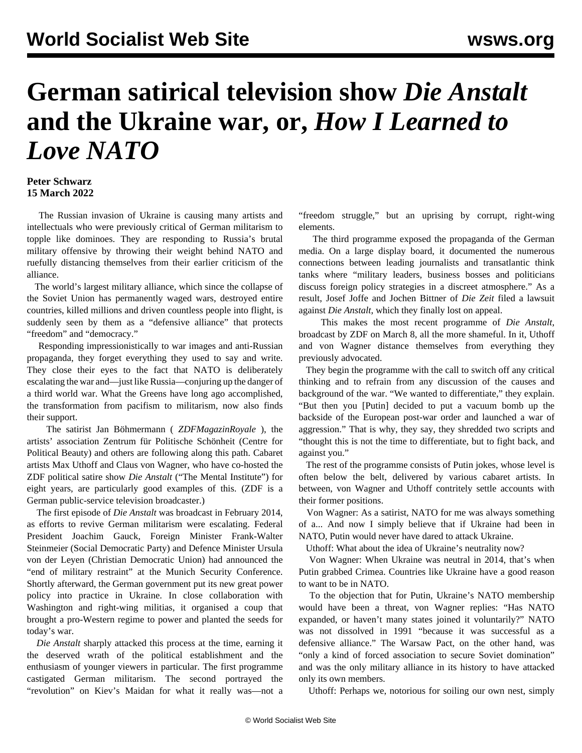## **German satirical television show** *Die Anstalt* **and the Ukraine war, or,** *How I Learned to Love NATO*

## **Peter Schwarz 15 March 2022**

 The Russian invasion of Ukraine is causing many artists and intellectuals who were previously critical of German militarism to topple like dominoes. They are responding to Russia's brutal military offensive by throwing their weight behind NATO and ruefully distancing themselves from their earlier criticism of the alliance.

 The world's largest military alliance, which since the collapse of the Soviet Union has permanently waged wars, destroyed entire countries, killed millions and driven countless people into flight, is suddenly seen by them as a "defensive alliance" that protects "freedom" and "democracy."

 Responding impressionistically to war images and anti-Russian propaganda, they forget everything they used to say and write. They close their eyes to the fact that NATO is deliberately escalating the war and—just like Russia—conjuring up the danger of a third world war. What the Greens have long ago accomplished, the [transformation](/en/articles/2022/03/10/paci-m10.html) from pacifism to militarism, now also finds their support.

 The satirist Jan Böhmermann ( *ZDFMagazinRoyale* ), the artists' association Zentrum für Politische Schönheit (Centre for Political Beauty) and others are following along this path. Cabaret artists Max Uthoff and Claus von Wagner, who have co-hosted the ZDF political satire show *Die Anstalt* ("The Mental Institute") for eight years, are particularly good examples of this. (ZDF is a German public-service television broadcaster.)

 The first episode of *Die Anstalt* was broadcast in February 2014, as efforts to revive German militarism were escalating. Federal President Joachim Gauck, Foreign Minister Frank-Walter Steinmeier (Social Democratic Party) and Defence Minister Ursula von der Leyen (Christian Democratic Union) had announced the "end of military restraint" at the Munich Security Conference. Shortly afterward, the German government put its new great power policy into practice in Ukraine. In close collaboration with Washington and right-wing militias, it organised a coup that brought a pro-Western regime to power and planted the seeds for today's war.

 *Die Anstalt* sharply [attacked](/en/articles/2014/05/30/germ-m30.html) this process at the time, earning it the deserved wrath of the political establishment and the enthusiasm of younger viewers in particular. The first programme castigated German militarism. The second portrayed the "revolution" on Kiev's Maidan for what it really was—not a "freedom struggle," but an uprising by corrupt, right-wing elements.

 The third programme exposed the propaganda of the German media. On a large display board, it documented the numerous connections between leading journalists and transatlantic think tanks where "military leaders, business bosses and politicians discuss foreign policy strategies in a discreet atmosphere." As a result, Josef Joffe and Jochen Bittner of *Die Zeit* filed a lawsuit against *Die Anstalt*, which they finally [lost](/en/articles/2017/01/14/zeit-j14.html) on appeal.

 This makes the most recent programme of *Die Anstalt*, broadcast by ZDF on March 8, all the more shameful. In it, Uthoff and von Wagner distance themselves from everything they previously advocated.

 They begin the programme with the call to switch off any critical thinking and to refrain from any discussion of the causes and background of the war. "We wanted to differentiate," they explain. "But then you [Putin] decided to put a vacuum bomb up the backside of the European post-war order and launched a war of aggression." That is why, they say, they shredded two scripts and "thought this is not the time to differentiate, but to fight back, and against you."

 The rest of the programme consists of Putin jokes, whose level is often below the belt, delivered by various cabaret artists. In between, von Wagner and Uthoff contritely settle accounts with their former positions.

 Von Wagner: As a satirist, NATO for me was always something of a... And now I simply believe that if Ukraine had been in NATO, Putin would never have dared to attack Ukraine.

Uthoff: What about the idea of Ukraine's neutrality now?

 Von Wagner: When Ukraine was neutral in 2014, that's when Putin grabbed Crimea. Countries like Ukraine have a good reason to want to be in NATO.

 To the objection that for Putin, Ukraine's NATO membership would have been a threat, von Wagner replies: "Has NATO expanded, or haven't many states joined it voluntarily?" NATO was not dissolved in 1991 "because it was successful as a defensive alliance." The Warsaw Pact, on the other hand, was "only a kind of forced association to secure Soviet domination" and was the only military alliance in its history to have attacked only its own members.

Uthoff: Perhaps we, notorious for soiling our own nest, simply